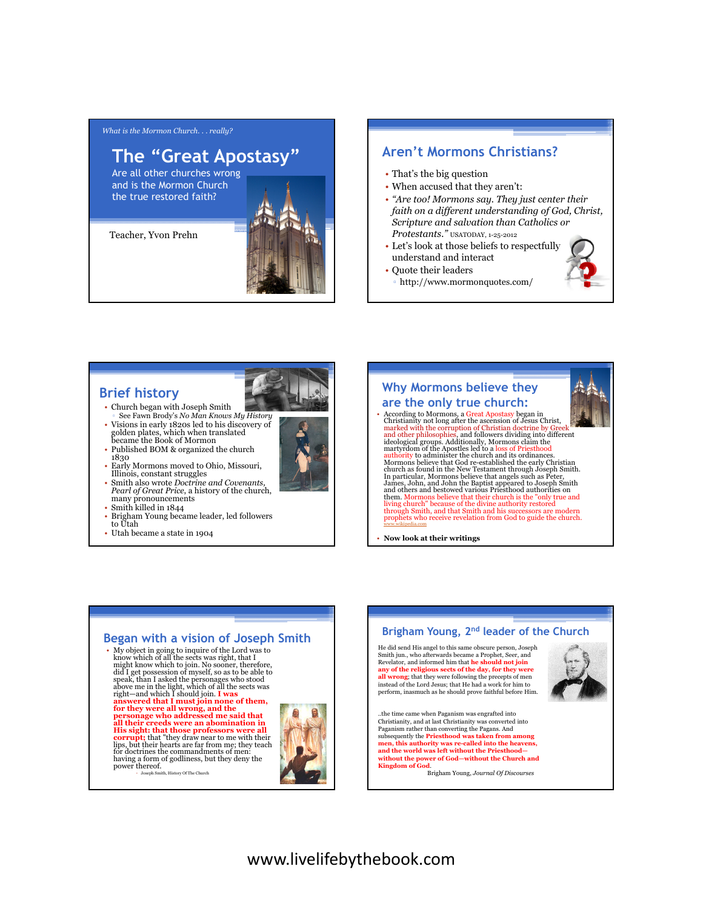*What is the Mormon Church. . . really?*

# **The "Great Apostasy"**

Are all other churches wrong and is the Mormon Church the true restored faith?

Teacher, Yvon Prehn



# **Aren't Mormons Christians?**

- That's the big question
- When accused that they aren't:
- *"Are too! Mormons say. They just center their faith on a different understanding of God, Christ, Scripture and salvation than Catholics or Protestants."* USATODAY, 1-25-2012
- Let's look at those beliefs to respectfully understand and interact
- Quote their leaders
	- http://www.mormonquotes.com/

# **Brief history**

- Church began with Joseph Smith See Fawn Brody's *No Man Knows My History*
- Visions in early 1820s led to his discovery of golden plates, which when translated became the Book of Mormon
- Published BOM & organized the church 1830
- Early Mormons moved to Ohio, Missouri, Illinois, constant struggles • Smith also wrote *Doctrine and Covenants,*
- *Pearl of Great Price*, a history of the church, many pronouncements
- Smith killed in 1844
- Brigham Young became leader, led followers to Utah
- Utah became a state in 1904



- According to Mormons, a Great Apostasy began in<br>Christianity not long after the assension of Jesus Christ, marked with the corruption of Christian doctrine by Greek<br>and other philosophies, and followers dividing into di Mormon's believe that God re-established the early Christian<br>church as found in the New Testament through Joseph Smith.<br>In particular, Mormons believe that angels such as Peter,<br>James, John, and John the Baptist appeared t through Smith, and that Smith and his successors are modern<br>prophets who receive revelation from God to guide the church.<br>www.wikipedia.com

• **Now look at their writings**

#### **Began with a vision of Joseph Smith**

 $\bullet$  My object in going to inquire of the Lord was to know which of all the sects was right, that I did I get possession of myself, so as to be able to<br>speak, than I asked the personages who stood<br>above me in the light, which of all the sects was<br>right—and which I should join. **I was**<br>**answered that I must join none of t** all their creeds were an abomination in<br>His sight: that those professors were all<br>corrupt; that "they draw near to me with their<br>lips, but their hearts are far from me; they teach<br>for doctrines the commandments of men: having a form of godliness, but they deny the power thereof.<br>
• Joseph Smith, History Of The Church



# **Brigham Young, 2nd leader of the Church** He did send His angel to this same obscure person, Joseph Smith jun., who afterwards became a Prophet, Seer, and Revelator, and informed him that **he should not join any of the religious sects of the day, for they were all wrong**; that they were following the precepts of men instead of the Lord Jesus; that He had a work for him to perform, inasmuch as he should prove faithful before Him. ..the time came when Paganism was engrafted into Christianity, and at last Christianity was converted into

Paganism rather than converting the Pagans. And subsequently the **Priesthood was taken from among men, this authority was re-called into the heavens, and the world was left without the Priesthood without the power of God—without the Church and Kingdom of God**.

Brigham Young, *Journal Of Discourses*

# **Why Mormons believe they**



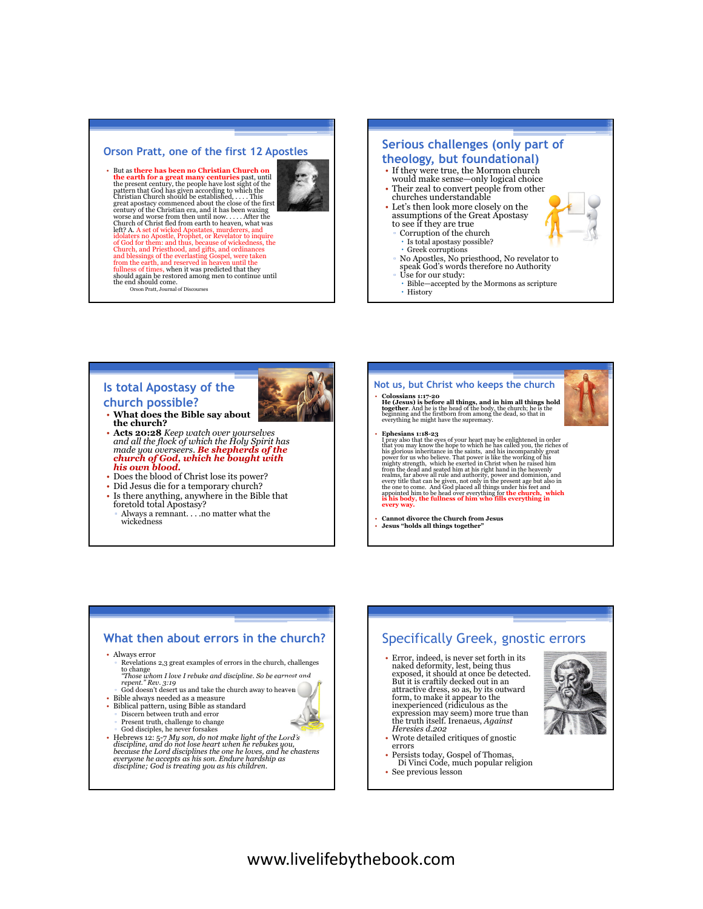#### **Orson Pratt, one of the first 12 Apostles**

• But as **there has been no Christian Church on the earth for a great many centuries** past, until<br>the present century, the people have lost sight of the<br>pattern that God has given according to which the<br>Christian Church should be established, . . . . This<br>great apostac century of the Christian era, and it has been waxing worse and worse from then until now. . . . . After the Church of Christ fled from earth to heaven, what was left? A. A set of wicked Apostates, murderers, and idolaters no Apostle, Prophet, or Revelator to inquire of God for them: and thus, because of wickedness, the Church, and Priesthood, and gifts, and ordinances<br>and blessings of the everlasting Gospel, were taken<br>from the earth, and reserved in heaven until the<br>fullness of times, when it was predicted that they<br>should again be rest Orson Pratt, Journal of Discourses



- **Is total Apostasy of the**
- **church possible?**
	- **What does the Bible say about**
- **the church?**<br>Acts 20:28 Keep watch over yourselves<br>and all the flock of which the Holy Spirit has • **Acts 20:28** *Keep watch over yourselves and all the flock of which the Holy Spirit has made you overseers. Be shepherds of the church of God, which he bought with his own blood.*
- Does the blood of Christ lose its power?
- Did Jesus die for a temporary church?
- Is there anything, anywhere in the Bible that foretold total Apostasy? ▫ Always a remnant. . . .no matter what the wickedness

# **Not us, but Christ who keeps the church**

• Colossians 1:17-20<br>He (Jesus) is before all things, and in him all things hold<br>together. And he is the head of the body, the church; he is the<br>beginning and the firstborn from among the dead, so that in<br>everything he mig

- F phesians 1:18-23<br>
Proposition that the eyes of your heart may be enlightened in order<br>
that you may know the hope to which the has called you, the riches of<br>
his glorious inheritance in the saints, and his incomparably
- **Cannot divorce the Church from Jesus Jesus "holds all things together"**

# **What then about errors in the church?**

• Always error

▫ Revelations 2,3 great examples of errors in the church, challenges to change *"Those whom I love I rebuke and discipline. So be earnest and* 

- *repent." Rev. 3:19* God doesn't desert us and take the church away to heaven
- Bible always needed as a measure • Biblical pattern, using Bible as standard ▫ Discern between truth and error
- Present truth, challenge to change God disciples, he never forsakes
- Hebrews 12: 5-7 *My son, do not make light of the Lord's discipline, and do not lose heart when he rebukes you, because the Lord disciplines the one he loves, and he chastens everyone he accepts as his son. Endure hardship as discipline; God is treating you as his children.*

# Specifically Greek, gnostic errors

- Error, indeed, is never set forth in its naked deformity, lest, being thus exposed, it should at once be detected. But it is craftily decked out in an attractive dress, so as, by its outward form, to make it appear to the inexperienced (ridiculous as the expression may seem) more true than the truth itself. Irenaeus, *Against Heresies d.202*
- Wrote detailed critiques of gnostic
- errors • Persists today, Gospel of Thomas,
- Di Vinci Code, much popular religion See previous lesson
- 

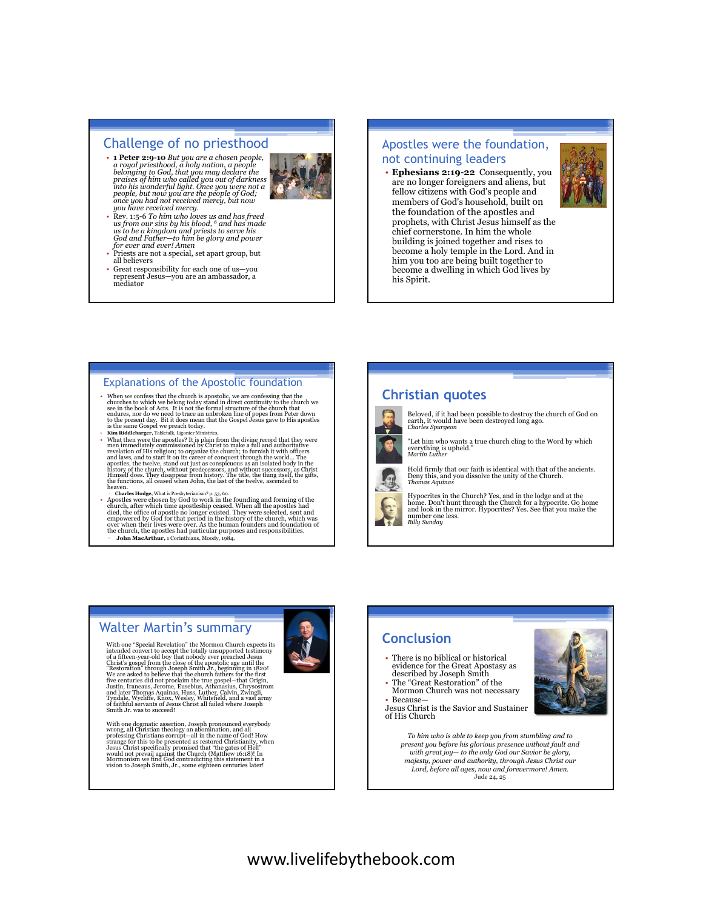# Challenge of no priesthood

• **1 Peter 2:9-10** *But you are a chosen people, a royal priesthood, a holy nation, a people belonging to God, that you may declare the praises of him who called you out of darkness into his wonderful light. Once you were not a people, but now you are the people of God; once you had not received mercy, but now* 



- *you have received mercy.*  • Rev. 1:5-6 *To him who loves us and has freed us from our sins by his blood, 6 and has made us to be a kingdom and priests to serve his God and Father—to him be glory and power for ever and ever! Amen*
- Priests are not a special, set apart group, but all believers
- Great responsibility for each one of us—you represent Jesus—you are an ambassador, a mediator

#### Apostles were the foundation, not continuing leaders

• **Ephesians 2:19-22** Consequently, you are no longer foreigners and aliens, but fellow citizens with God's people and members of God's household, built on the foundation of the apostles and prophets, with Christ Jesus himself as the chief cornerstone. In him the whole building is joined together and rises to become a holy temple in the Lord. And in him you too are being built together to become a dwelling in which God lives by his Spirit.

# Explanations of the Apostolic foundation

- 
- When we confess that the church is a<br>postolic, we are confessing that the church we belong today stand in direct continuity to the church we see in the book of Acts. It is not the formal structure of the church we endur
- 
- Apostles were chosen by God to work in the founding and forming of the church, after which time apostleship ecased. When all the apostle died, the office of apostle no longer existed. They were selected, sent and empower the church, the apostles had particular purposes and responsibilities. John MacArthur, 1 Corinthians, Moody, 1984,

### **Christian quotes**



- Beloved, if it had been possible to destroy the church of God on<br>earth, it would have been destroyed long ago.<br>*Charles Spurgeon*
- "Let him who wants a true church cling to the Word by which everything is upheld." *Martin Luther*

Hold firmly that our faith is identical with that of the ancients. Deny this, and you dissolve the unity of the Church. *Thomas Aquinas*

Hypocrites in the Church? Yes, and in the lodge and at the<br>home. Don't hunt through the Church for a hypocrite. Go home<br>and look in the mirror. Hypocrites? Yes. See that you make the number one less. *Billy Sunday*

# Walter Martin's summary

With one "Special Revelation" the Mormon Church expects its<br>intended convert to accept the totally unsupported testimony<br>of a fifteen-year-old boy that nobody ever preached Jesus<br>Christ's gospel from the close of the apost We are asked to believe that the church fattiers for the first<br>five centuries did not proclaim the true gospel—that Origin,<br>Justin, Iraneaus, Jerome, Eusebius, Athanasius, Chrysostrom<br>and later Thomas Aquinas, Huss, Luther

With one dogmatic assertion, Joseph pronounced everybody<br>wrong, all Christian theology an abomination, and all<br>professing Christians corrupt—all in the name of God! How<br>strange for this to be presented as restored Christia



# **Conclusion**

- There is no biblical or historical evidence for the Great Apostasy as described by Joseph Smith • The "Great Restoration" of the
- Mormon Church was not necessary • Because

Jesus Christ is the Savior and Sustainer of His Church



*To him who is able to keep you from stumbling and to present you before his glorious presence without fault and with great joy— to the only God our Savior be glory, majesty, power and authority, through Jesus Christ our Lord, before all ages, now and forevermore! Amen.*  Jude 24, 25